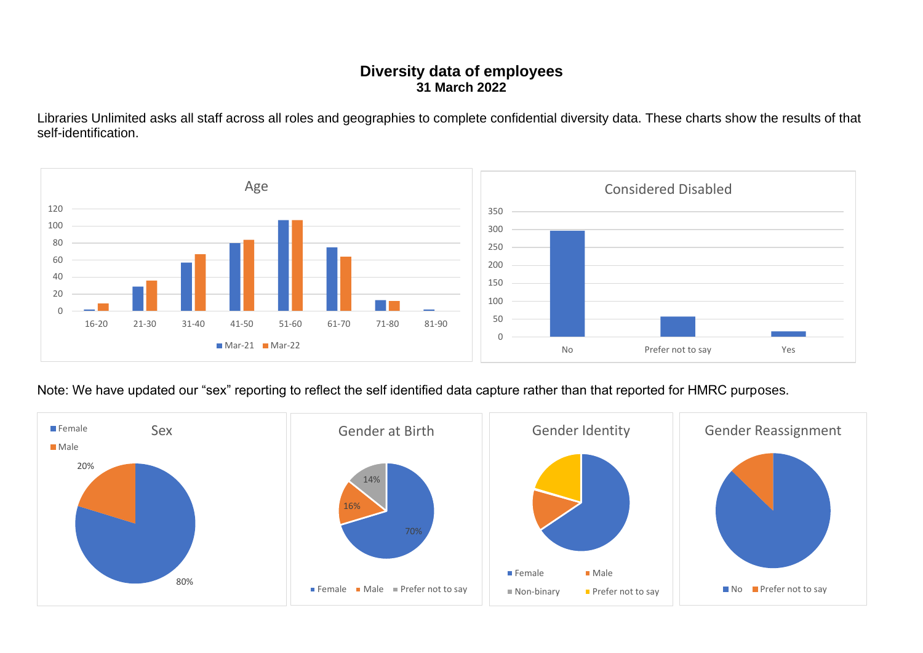## **Diversity data of employees 31 March 2022**

Libraries Unlimited asks all staff across all roles and geographies to complete confidential diversity data. These charts show the results of that self-identification.



Note: We have updated our "sex" reporting to reflect the self identified data capture rather than that reported for HMRC purposes.

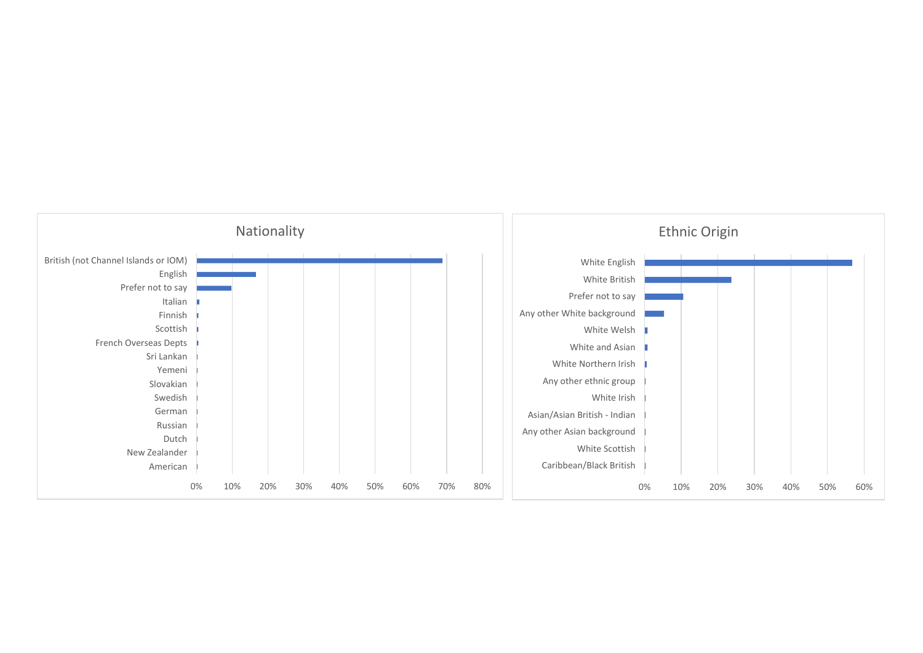